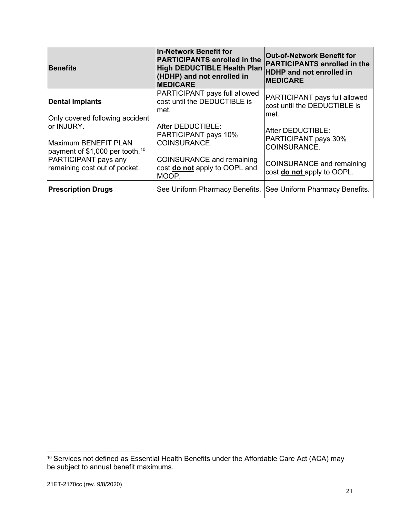| <b>Benefits</b>                                                                   | In-Network Benefit for<br><b>PARTICIPANTS enrolled in the</b><br>High DEDUCTIBLE Health Plan<br>(HDHP) and not enrolled in<br><b>MEDICARE</b> | <b>Out-of-Network Benefit for</b><br><b>PARTICIPANTS enrolled in the</b><br><b>HDHP</b> and not enrolled in<br><b>IMEDICARE</b> |
|-----------------------------------------------------------------------------------|-----------------------------------------------------------------------------------------------------------------------------------------------|---------------------------------------------------------------------------------------------------------------------------------|
| <b>Dental Implants</b><br>Only covered following accident                         | PARTICIPANT pays full allowed<br>cost until the DEDUCTIBLE is<br>lmet.                                                                        | PARTICIPANT pays full allowed<br>cost until the DEDUCTIBLE is<br>met.                                                           |
| or INJURY.<br>Maximum BENEFIT PLAN<br>payment of \$1,000 per tooth. <sup>10</sup> | After DEDUCTIBLE:<br>PARTICIPANT pays 10%<br>COINSURANCE.                                                                                     | After DEDUCTIBLE:<br>PARTICIPANT pays 30%<br>COINSURANCE.                                                                       |
| PARTICIPANT pays any<br>remaining cost out of pocket.                             | <b>COINSURANCE and remaining</b><br>cost do not apply to OOPL and<br>MOOP.                                                                    | <b>COINSURANCE and remaining</b><br>cost do not apply to OOPL.                                                                  |
| <b>Prescription Drugs</b>                                                         | See Uniform Pharmacy Benefits. See Uniform Pharmacy Benefits.                                                                                 |                                                                                                                                 |

<span id="page-20-0"></span> $^{\text{10}}$  Services not defined as Essential Health Benefits under the Affordable Care Act (ACA) may be subject to annual benefit maximums.